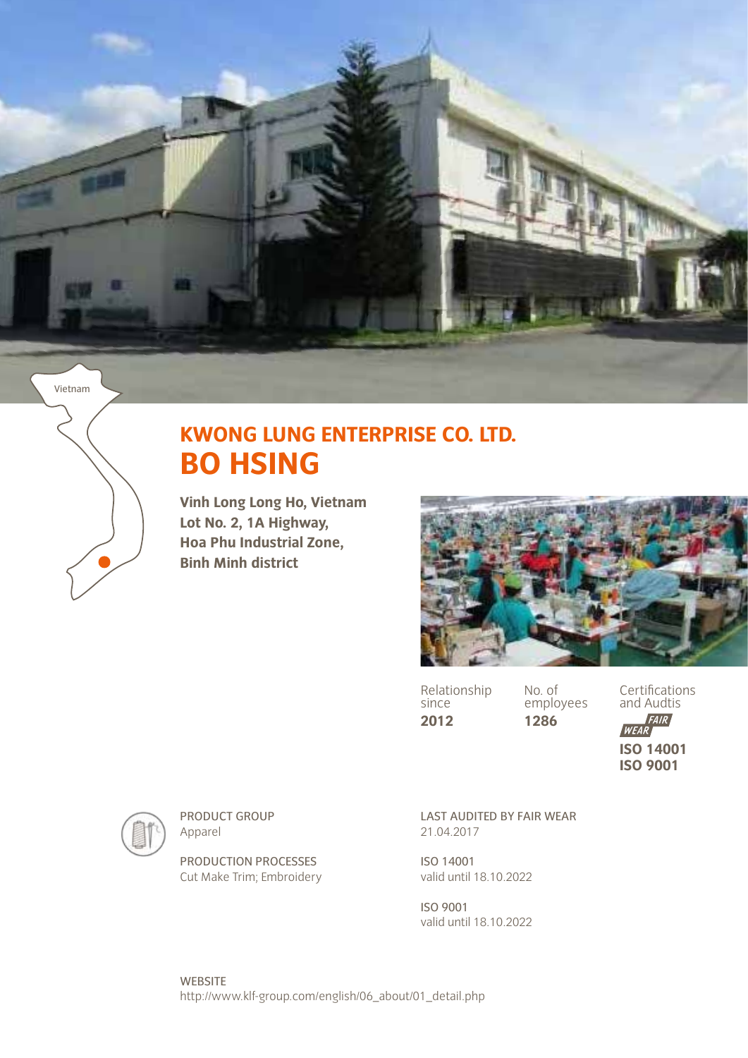



#### KWONG LUNG ENTERPRISE CO. LTD. BO HSING

Vinh Long Long Ho, Vietnam Lot No. 2, 1A Highway, Hoa Phu Industrial Zone, Binh Minh district



Relationship since 2012

No. of employees 1286

**Certifications** and Audtis<br>FAIR ISO 14001

ISO 9001



PRODUCT GROUP Apparel

PRODUCTION PROCESSES Cut Make Trim; Embroidery LAST AUDITED BY FAIR WEAR 21.04.2017

ISO 14001 valid until 18.10.2022

ISO 9001 valid until 18.10.2022

**WEBSITE** http://www.klf-group.com/english/06\_about/01\_detail.php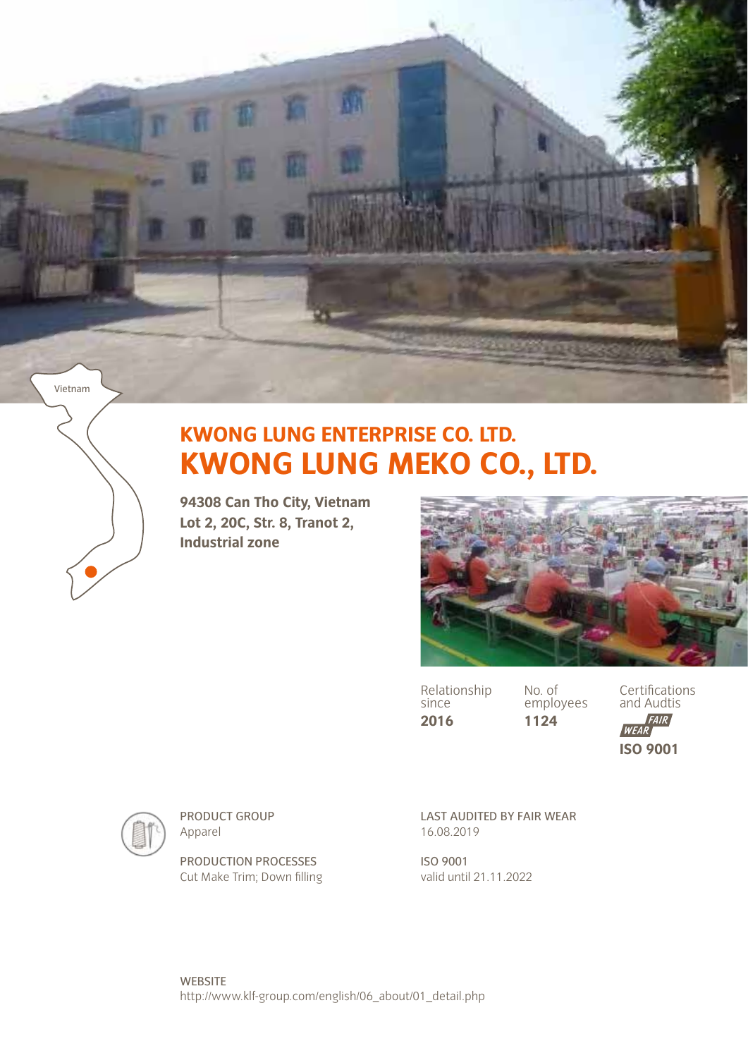

## KWONG LUNG ENTERPRISE CO. LTD. KWONG LUNG MEKO CO., LTD.

94308 Can Tho City, Vietnam Lot 2, 20C, Str. 8, Tranot 2, Industrial zone



Relationship since 2016

No. of employees 1124

Certifications and Audtis<br>FAIR ISO 9001



PRODUCT GROUP Apparel

PRODUCTION PROCESSES Cut Make Trim; Down filling LAST AUDITED BY FAIR WEAR 16.08.2019

ISO 9001 valid until 21.11.2022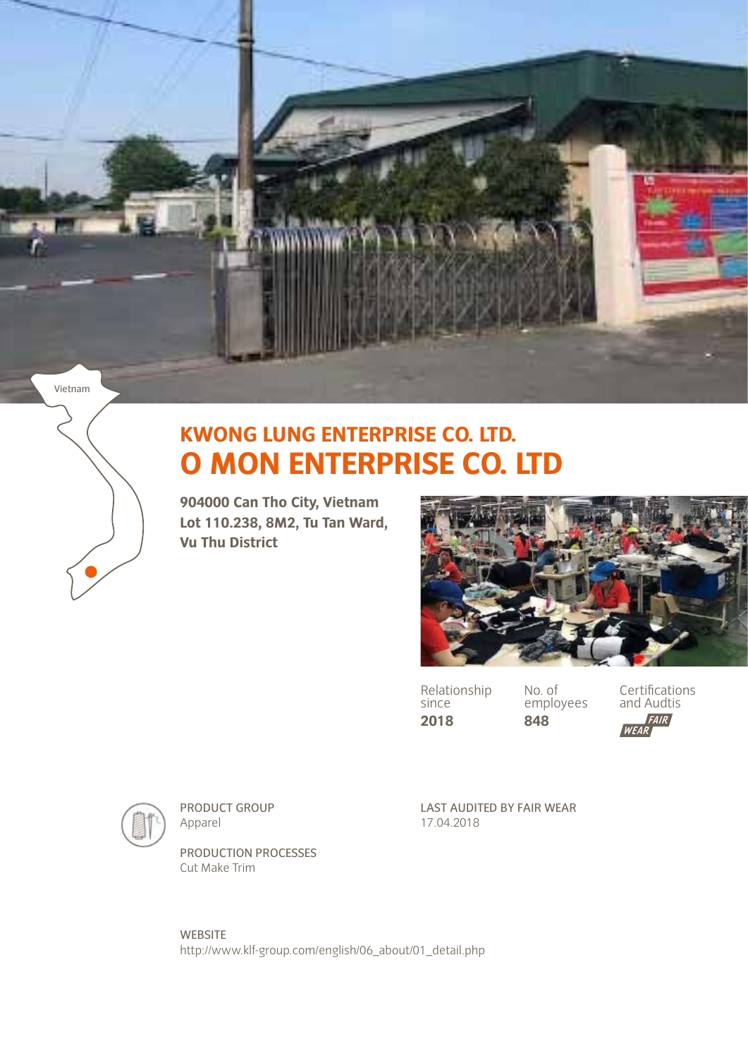

## KWONG LUNG ENTERPRISE CO. LTD. O MON ENTERPRISE CO. LTD

904000 Can Tho City, Vietnam Lot 110.238, 8M2, Tu Tan Ward, Vu Thu District



Relationship since 2018

No. of employees 848

**Certifications** and Audtis





PRODUCT GROUP Apparel

PRODUCTION PROCESSES Cut Make Trim

LAST AUDITED BY FAIR WEAR 17.04.2018

**WEBSITE** http://www.klf-group.com/english/06\_about/01\_detail.php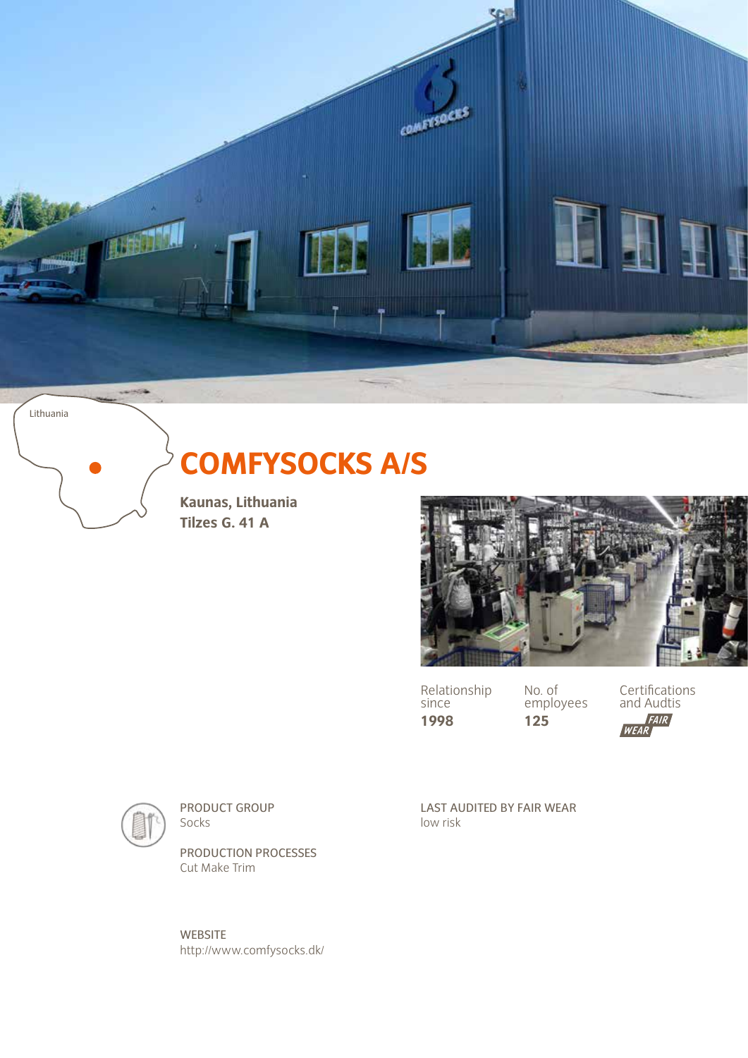

Lithuania

## COMFYSOCKS A/S

Kaunas, Lithuania Tilzes G. 41 A



Relationship since 1998

No. of employees 125

Certifications and Audtis





PRODUCT GROUP Socks

PRODUCTION PROCESSES Cut Make Trim

LAST AUDITED BY FAIR WEAR low risk

**WEBSITE** http://www.comfysocks.dk/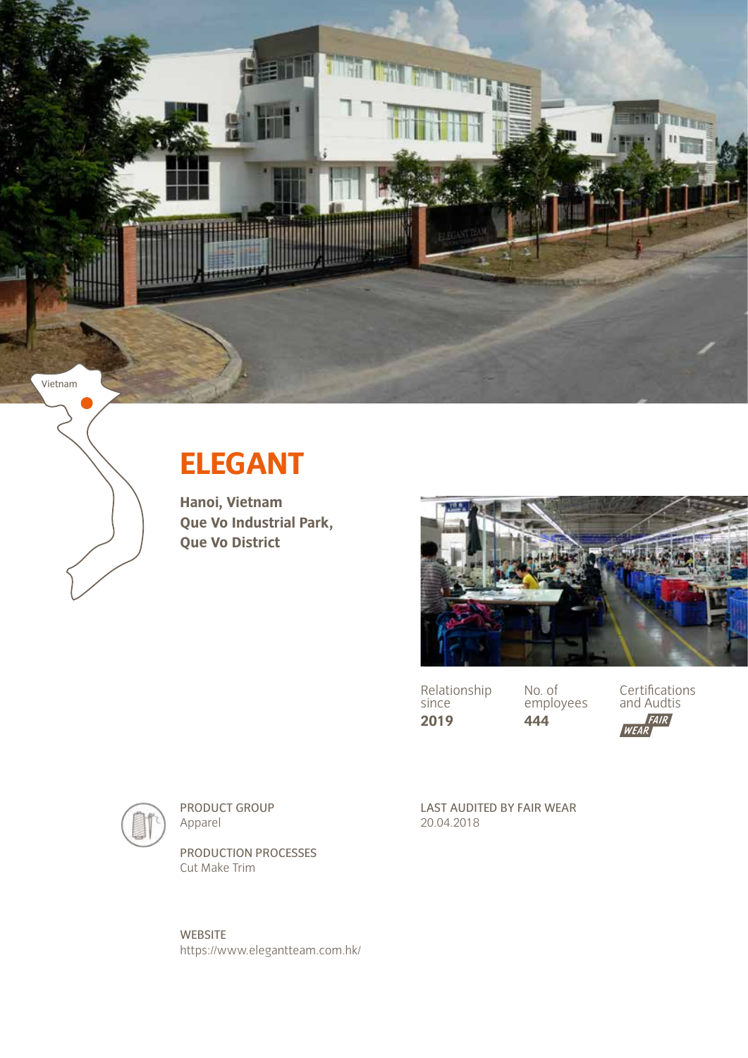

## ELEGANT

Hanoi, Vietnam Que Vo Industrial Park, Que Vo District



Relationship since 2019

20.04.2018

No. of employees 444

Certifications and Audtis



PRODUCT GROUP Apparel

PRODUCTION PROCESSES Cut Make Trim

LAST AUDITED BY FAIR WEAR

**WEBSITE** https://www.elegantteam.com.hk/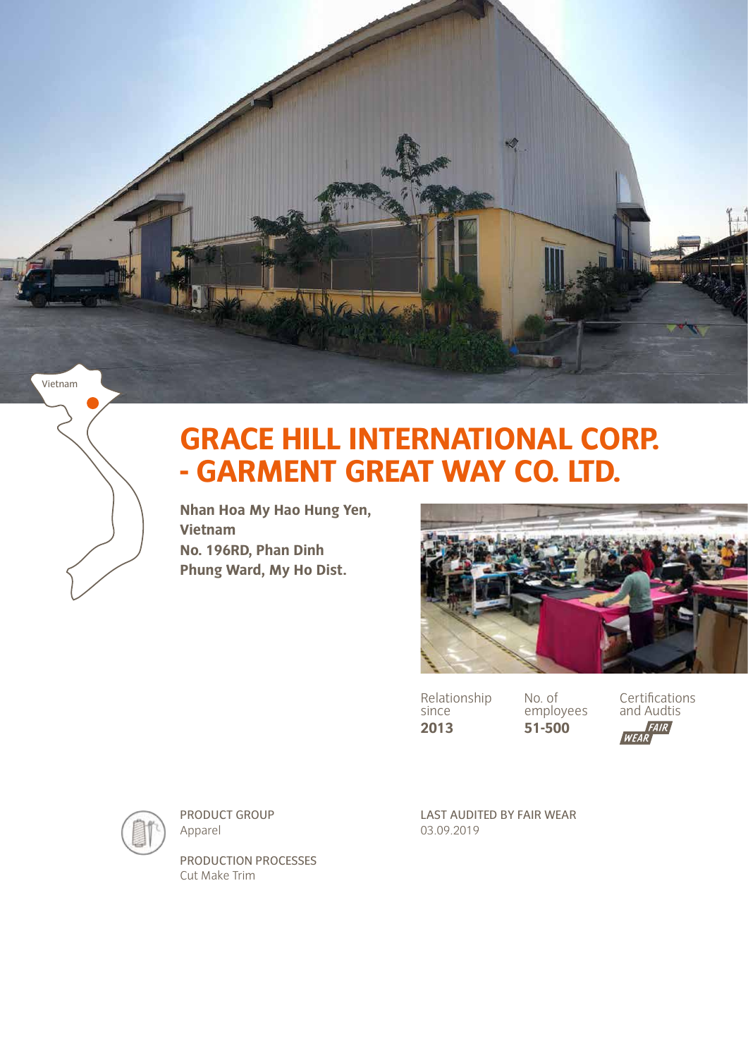

## GRACE HILL INTERNATIONAL CORP. - GARMENT GREAT WAY CO. LTD.

Nhan Hoa My Hao Hung Yen, Vietnam No. 196RD, Phan Dinh Phung Ward, My Ho Dist.



Relationship since 2013

No. of employees 51-500

Certifications and Audtis





PRODUCT GROUP Apparel

PRODUCTION PROCESSES Cut Make Trim

LAST AUDITED BY FAIR WEAR 03.09.2019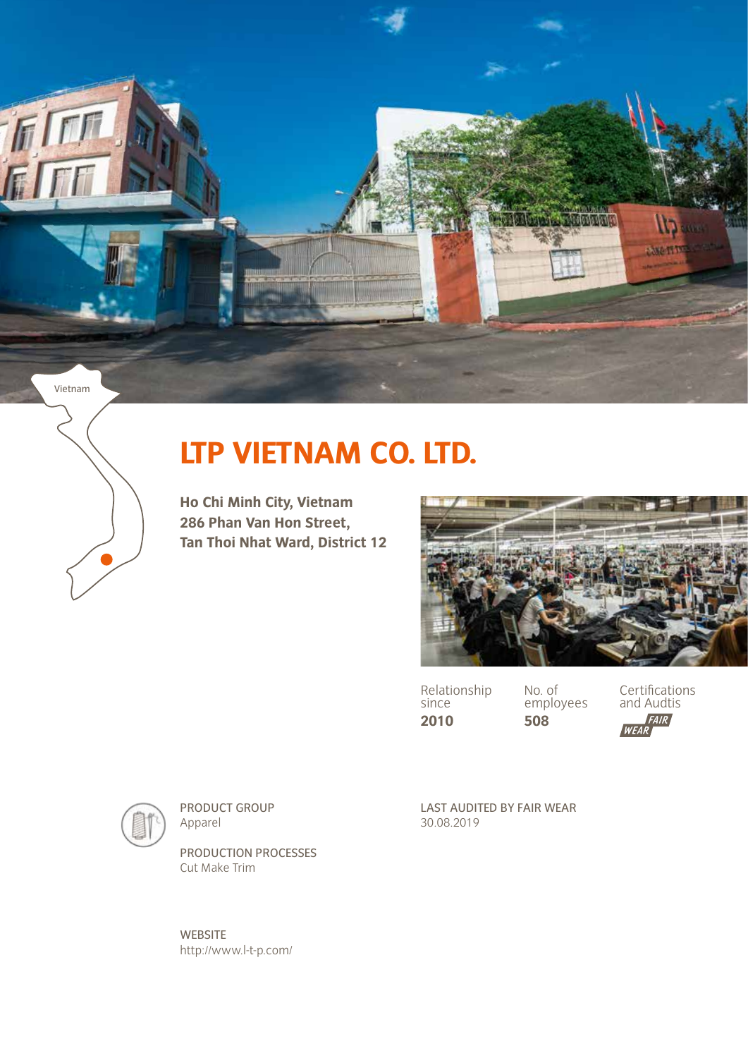



## LTP VIETNAM CO. LTD.

Ho Chi Minh City, Vietnam 286 Phan Van Hon Street, Tan Thoi Nhat Ward, District 12



Relationship since 2010

No. of employees 508

Certifications and Audtis





PRODUCT GROUP Apparel

PRODUCTION PROCESSES Cut Make Trim

LAST AUDITED BY FAIR WEAR 30.08.2019

**WEBSITE** http://www.l-t-p.com/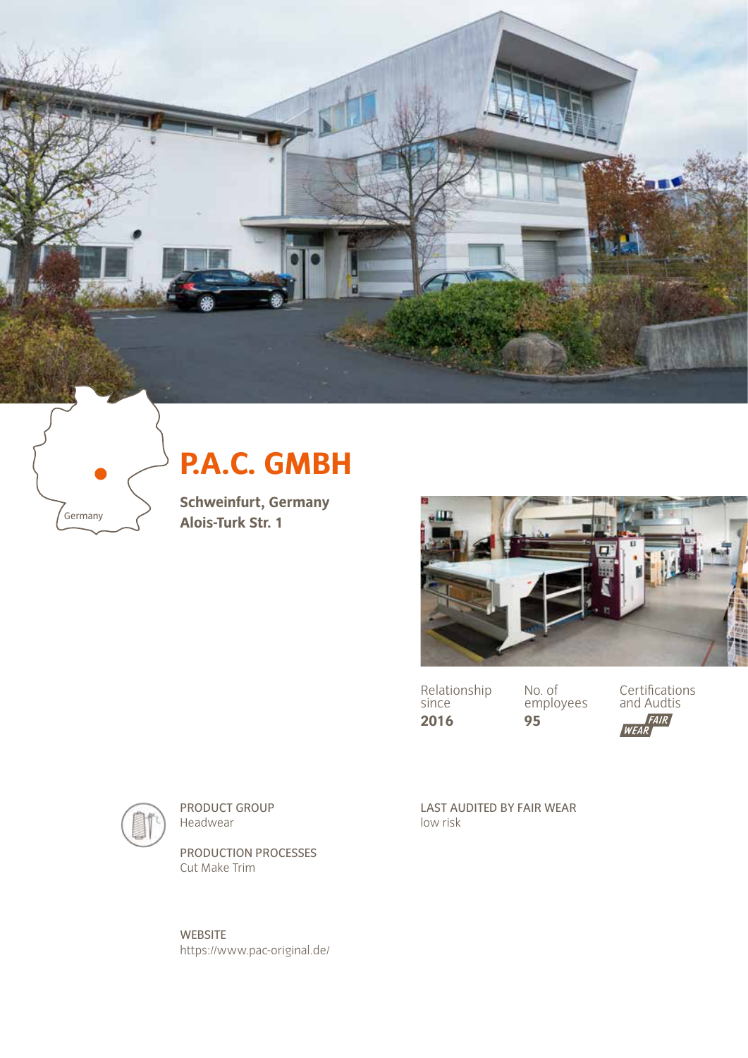



## P.A.C. GMBH

Schweinfurt, Germany Alois-Turk Str. 1



Relationship since 2016

No. of employees 95

Certifications and Audtis



PRODUCT GROUP Headwear

PRODUCTION PROCESSES Cut Make Trim

**WEBSITE** https://www.pac-original.de/ LAST AUDITED BY FAIR WEAR low risk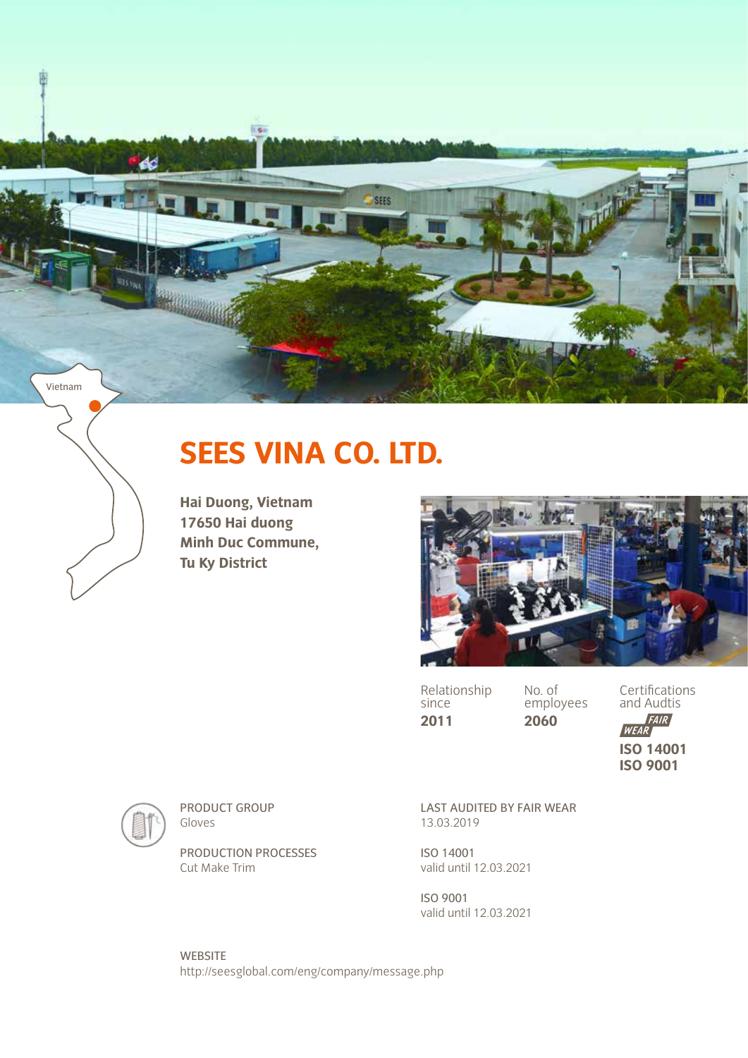



صفيرا

## SEES VINA CO. LTD.

SEE!

Hai Duong, Vietnam 17650 Hai duong Minh Duc Commune, Tu Ky District



Relationship since 2011

No. of employees 2060

Certifications and Audtis<br>FAIR ISO 14001

ISO 9001



PRODUCT GROUP Gloves

PRODUCTION PROCESSES Cut Make Trim

LAST AUDITED BY FAIR WEAR 13.03.2019

ISO 14001 valid until 12.03.2021

ISO 9001 valid until 12.03.2021

**WEBSITE** http://seesglobal.com/eng/company/message.php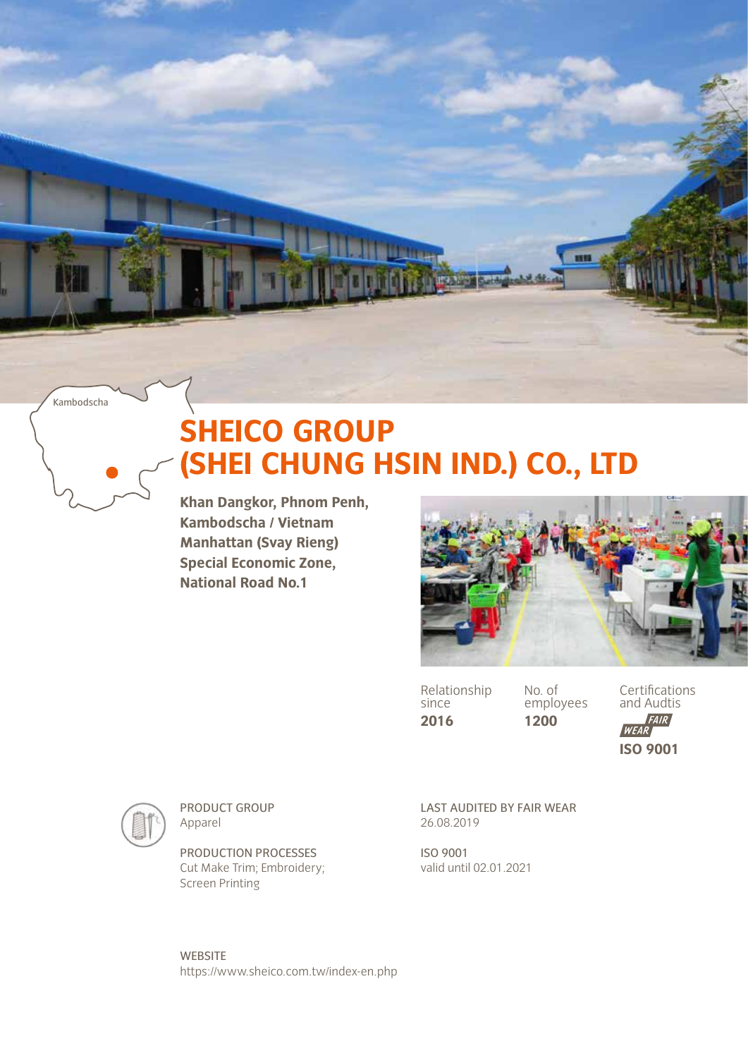Kambodscha

## SHEICO GROUP (SHEI CHUNG HSIN IND.) CO., LTD

Khan Dangkor, Phnom Penh, Kambodscha / Vietnam Manhattan (Svay Rieng) Special Economic Zone, National Road No.1



Relationship since 2016

No. of employees 1200

**Certifications** and Audtis<br>WEAR ISO 9001



PRODUCT GROUP Apparel

PRODUCTION PROCESSES Cut Make Trim; Embroidery; Screen Printing

LAST AUDITED BY FAIR WEAR 26.08.2019

ISO 9001 valid until 02.01.2021

**WEBSITE** https://www.sheico.com.tw/index-en.php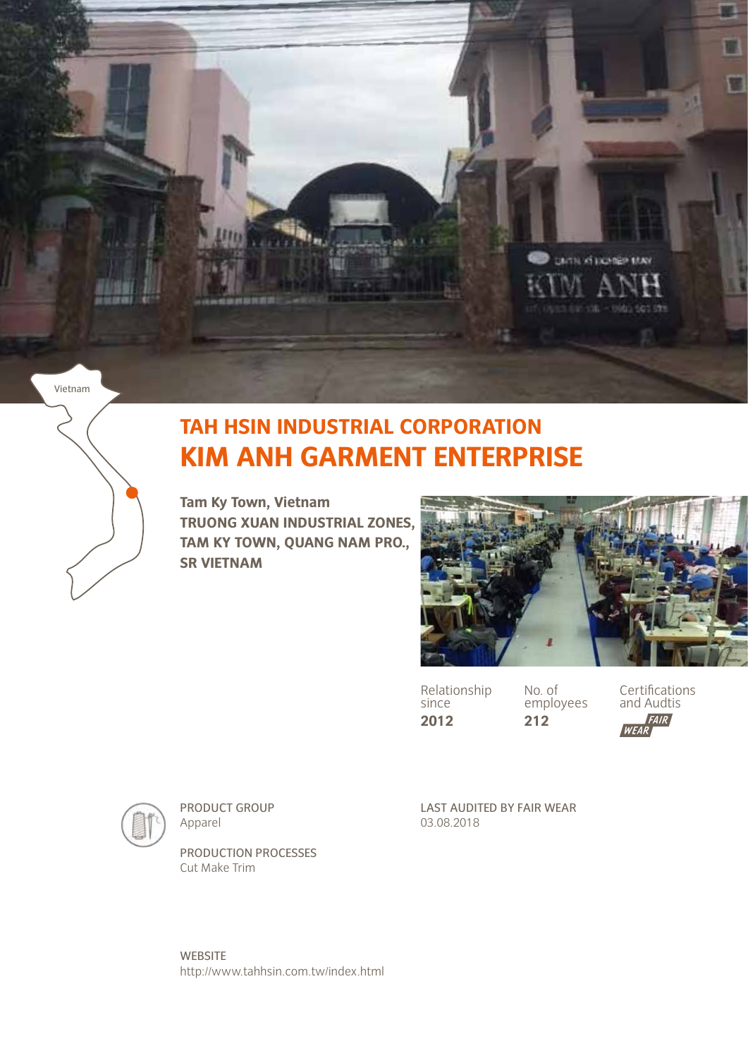

#### TAH HSIN INDUSTRIAL CORPORATION KIM ANH GARMENT ENTERPRISE

Tam Ky Town, Vietnam TRUONG XUAN INDUSTRIAL ZONES, TAM KY TOWN, QUANG NAM PRO., SR VIETNAM



Relationship since 2012

No. of employees 212

Certifications and Audtis





PRODUCT GROUP Apparel

PRODUCTION PROCESSES Cut Make Trim

LAST AUDITED BY FAIR WEAR 03.08.2018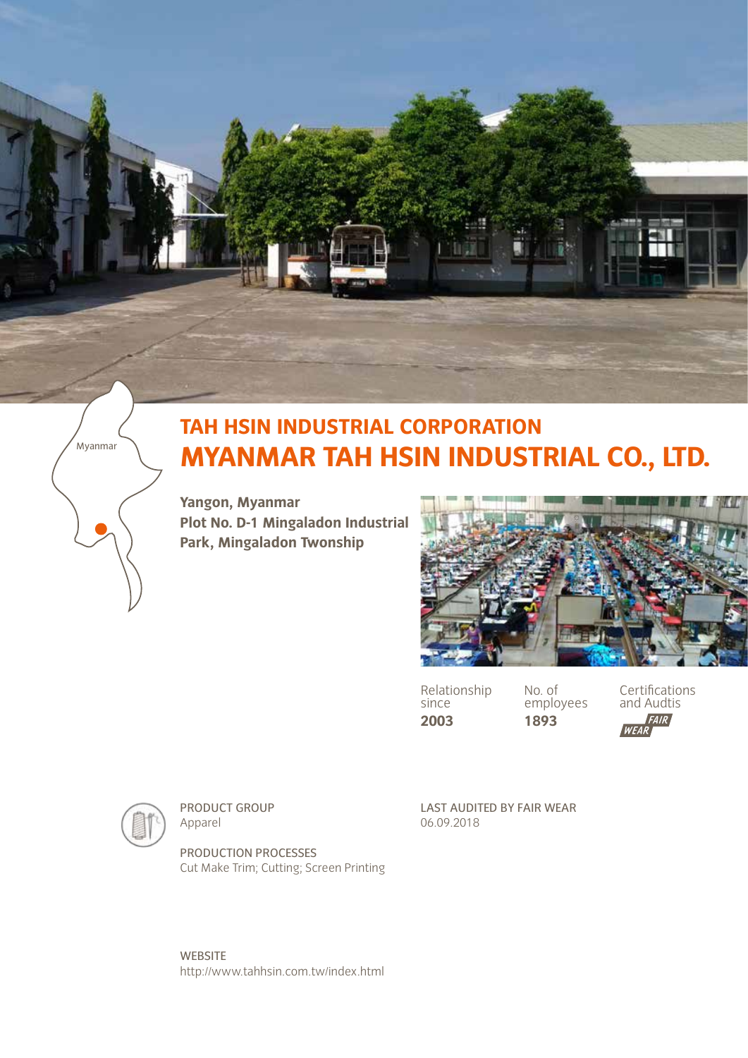

#### TAH HSIN INDUSTRIAL CORPORATION MYANMAR TAH HSIN INDUSTRIAL CO., LTD.

Yangon, Myanmar Plot No. D-1 Mingaladon Industrial Park, Mingaladon Twonship



Relationship since 2003

No. of employees 1893

**Certifications** and Audtis **FAIR** 



PRODUCT GROUP Apparel

LAST AUDITED BY FAIR WEAR 06.09.2018

PRODUCTION PROCESSES Cut Make Trim; Cutting; Screen Printing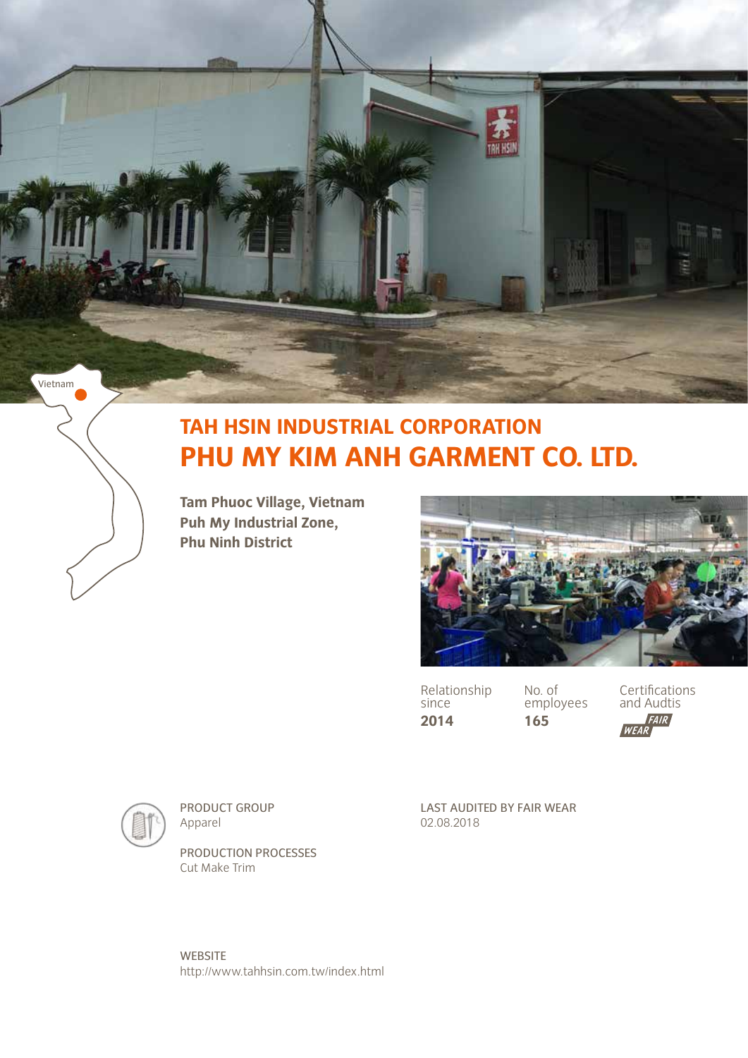

### TAH HSIN INDUSTRIAL CORPORATION PHU MY KIM ANH GARMENT CO. LTD.

Tam Phuoc Village, Vietnam Puh My Industrial Zone, Phu Ninh District



Relationship since 2014

No. of employees 165

**Certifications** and Audtis





PRODUCT GROUP Apparel

PRODUCTION PROCESSES Cut Make Trim

LAST AUDITED BY FAIR WEAR 02.08.2018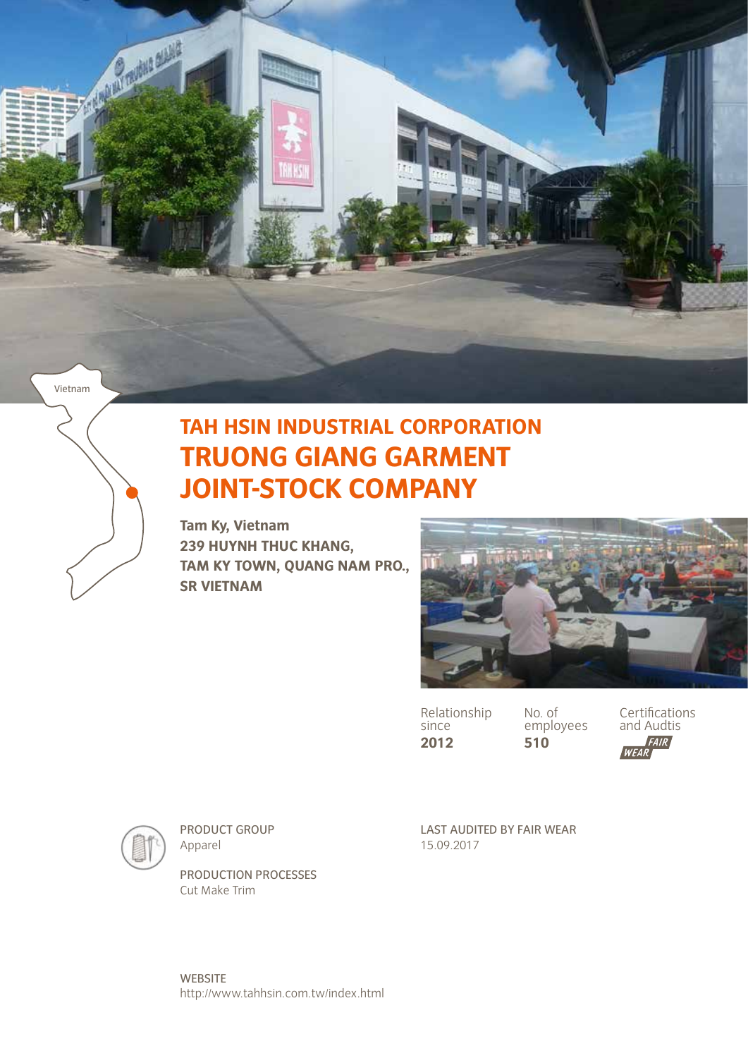

Company of the contract of

### TAH HSIN INDUSTRIAL CORPORATION TRUONG GIANG GARMENT JOINT-STOCK COMPANY

Tam Ky, Vietnam 239 HUYNH THUC KHANG, TAM KY TOWN, QUANG NAM PRO., SR VIETNAM



Relationship since 2012

No. of employees 510

Certifications and Audtis





PRODUCT GROUP Apparel

PRODUCTION PROCESSES Cut Make Trim

LAST AUDITED BY FAIR WEAR 15.09.2017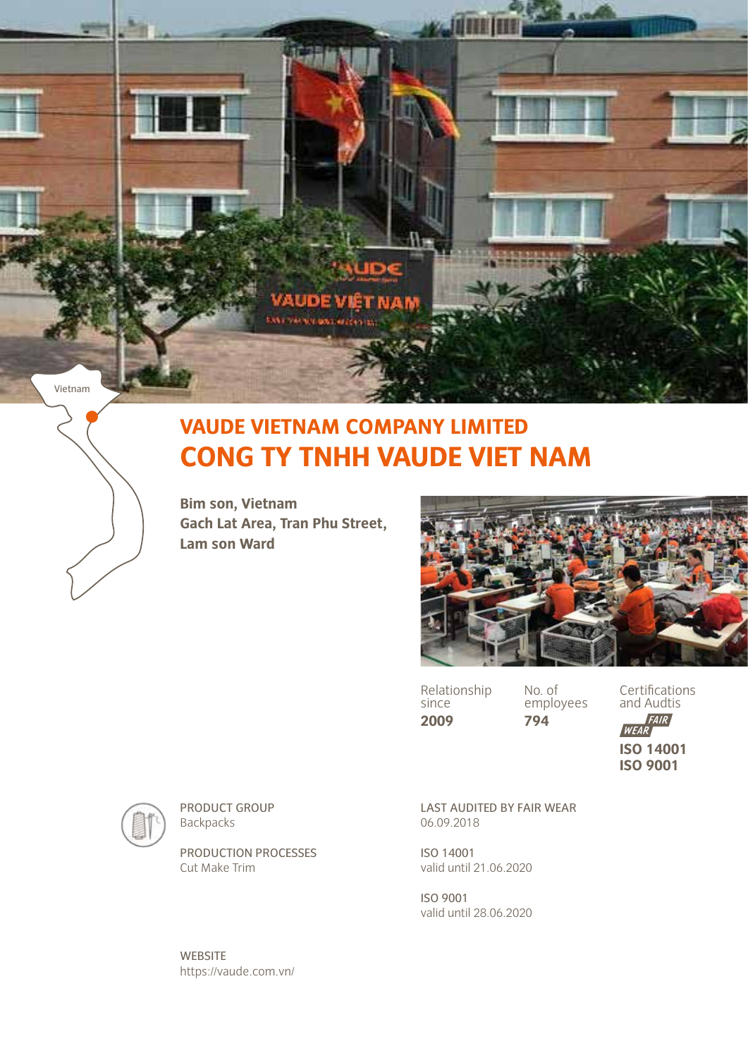

#### VAUDE VIETNAM COMPANY LIMITED CONG TY TNHH VAUDE VIET NAM

Bim son, Vietnam Gach Lat Area, Tran Phu Street, Lam son Ward



Relationship since 2009

No. of employees 794

Certifications and Audtis<br>FAIR ISO 14001

ISO 9001



PRODUCT GROUP Backpacks

PRODUCTION PROCESSES Cut Make Trim

LAST AUDITED BY FAIR WEAR 06.09.2018

ISO 14001 valid until 21.06.2020

ISO 9001 valid until 28.06.2020

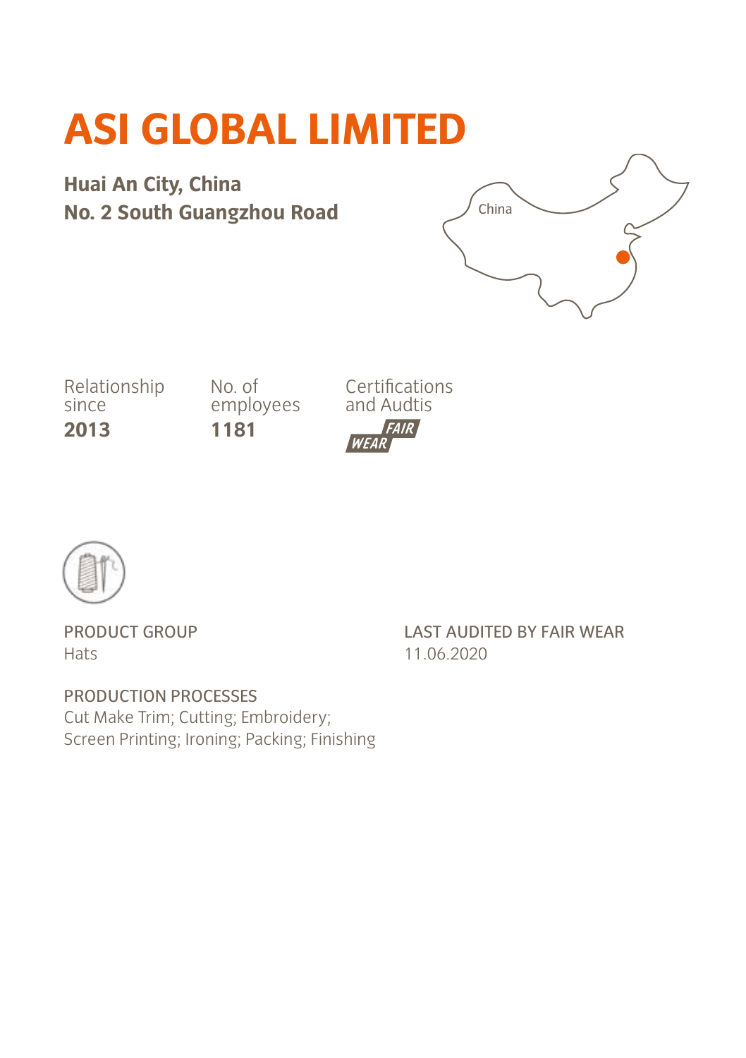## ASI GLOBAL LIMITED

#### Huai An City, China No. 2 South Guangzhou Road



Relationship since 2013

No. of employees 1181





PRODUCT GROUP **Hats** 

LAST AUDITED BY FAIR WEAR 11.06.2020

PRODUCTION PROCESSES Cut Make Trim; Cutting; Embroidery; Screen Printing; Ironing; Packing; Finishing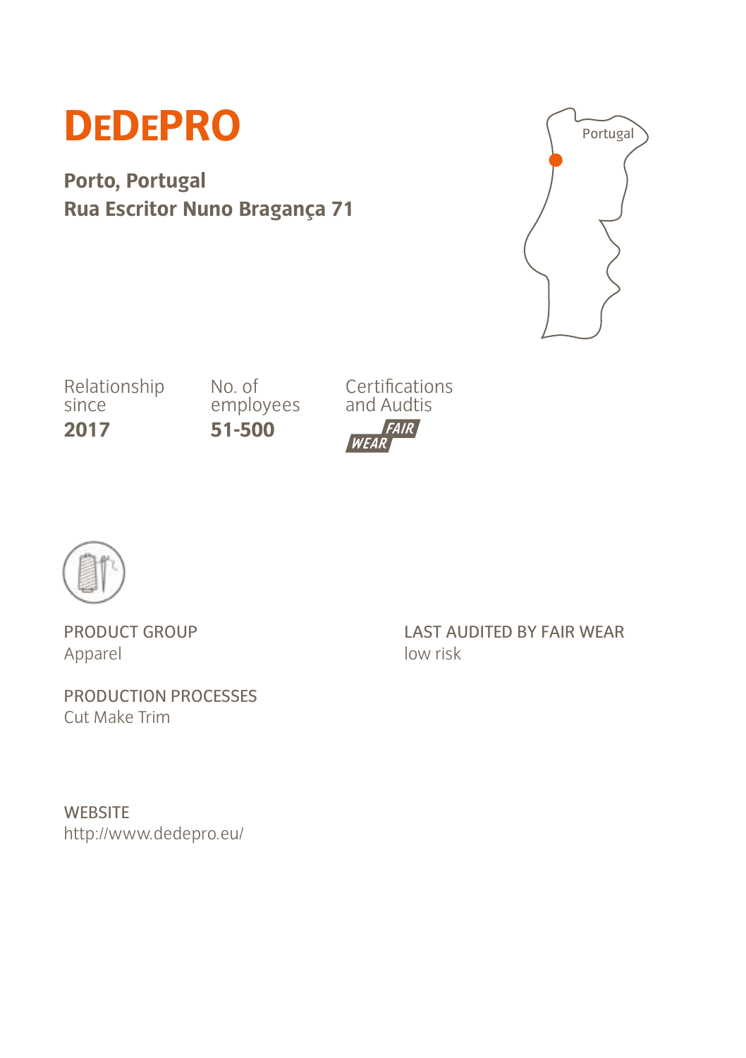## **DEDEPRO**

#### Porto, Portugal Rua Escritor Nuno Bragança 71



Relationship since 2017

No. of employees 51-500





PRODUCT GROUP Apparel

PRODUCTION PROCESSES Cut Make Trim

LAST AUDITED BY FAIR WEAR low risk

**WEBSITE** http://www.dedepro.eu/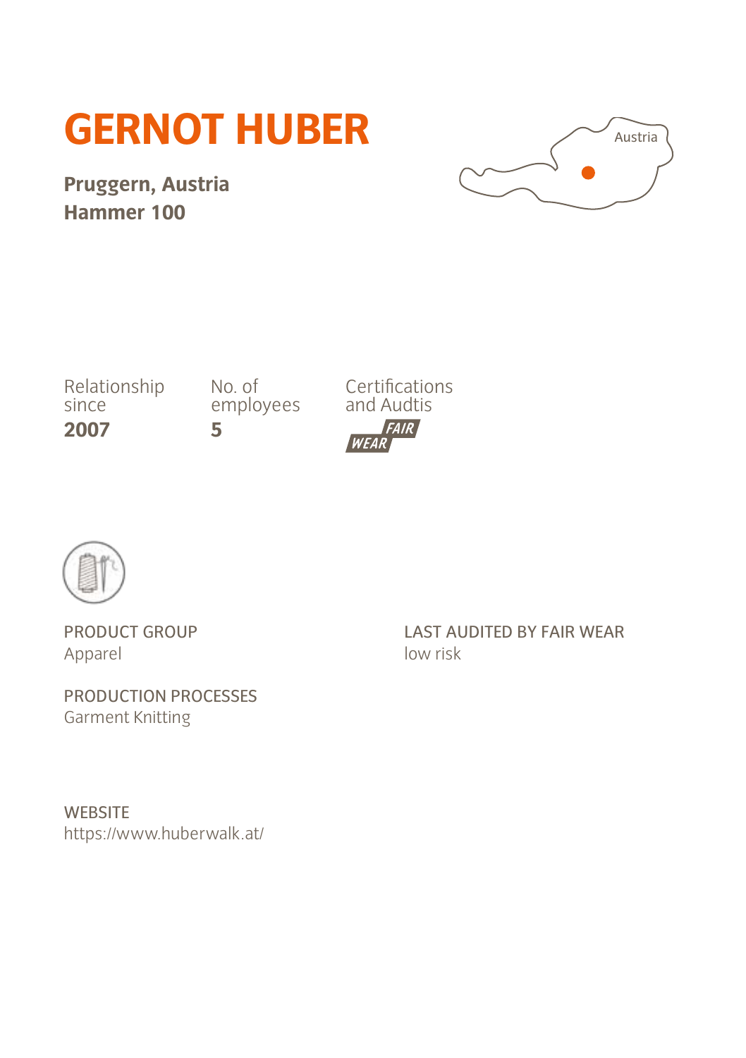## GERNOT HUBER

#### Pruggern, Austria Hammer 100



Relationship since 2007

No. of employees 5





PRODUCT GROUP Apparel

PRODUCTION PROCESSES Garment Knitting

LAST AUDITED BY FAIR WEAR low risk

**WEBSITE** https://www.huberwalk.at/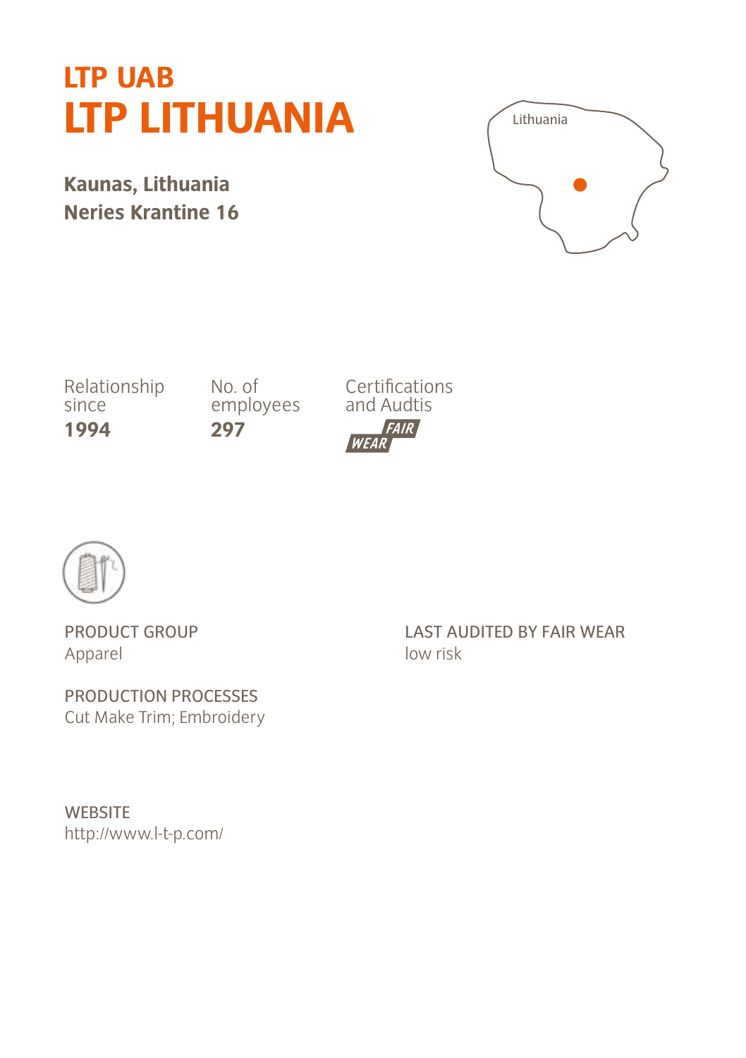### LTP UAB LTP LITHUANIA

#### Kaunas, Lithuania Neries Krantine 16



Relationship since 1994

No. of employees 297





PRODUCT GROUP Apparel

PRODUCTION PROCESSES Cut Make Trim; Embroidery LAST AUDITED BY FAIR WEAR low risk

**WEBSITE** http://www.l-t-p.com/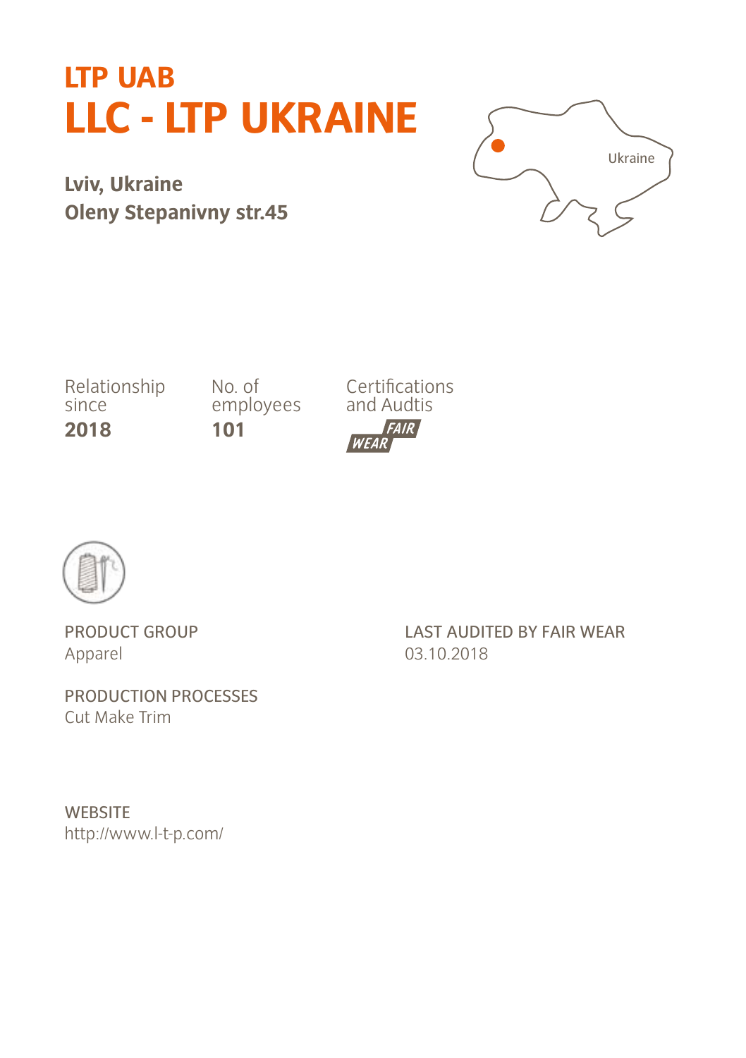### LTP UAB LLC - LTP UKRAINE

Lviv, Ukraine Oleny Stepanivny str.45



Relationship since 2018

No. of employees 101





PRODUCT GROUP Apparel

PRODUCTION PROCESSES Cut Make Trim

LAST AUDITED BY FAIR WEAR 03.10.2018

**WEBSITE** http://www.l-t-p.com/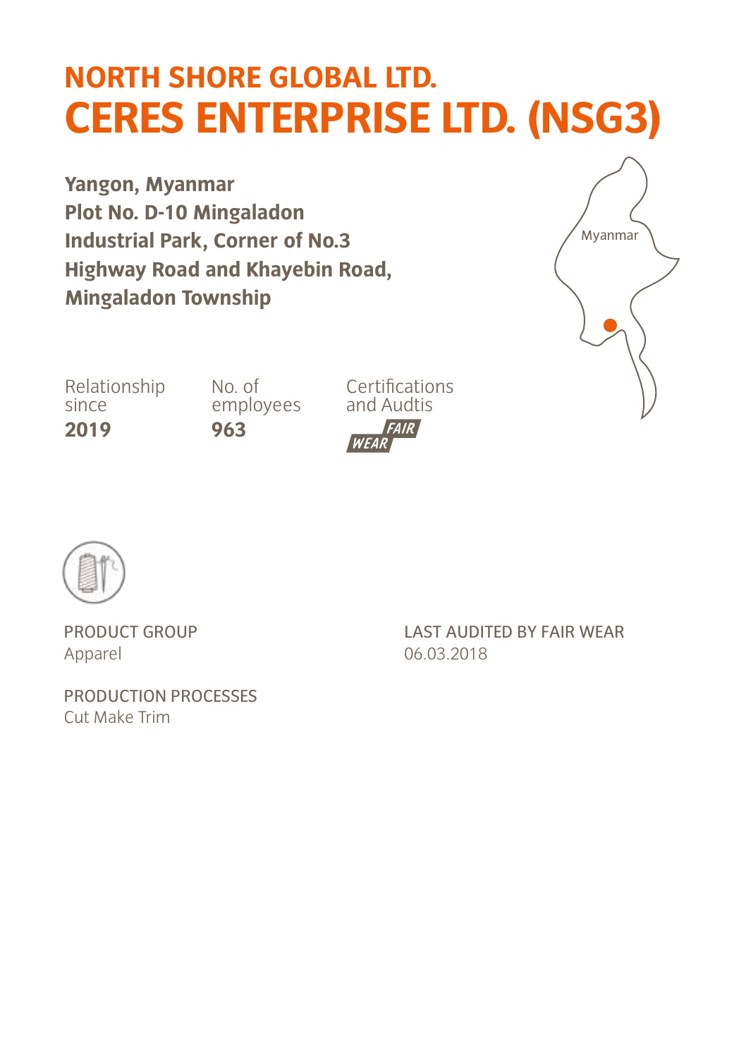### NORTH SHORE GLOBAL LTD. CERES ENTERPRISE LTD. (NSG3)

Yangon, Myanmar Plot No. D-10 Mingaladon Industrial Park, Corner of No.3 Highway Road and Khayebin Road, Mingaladon Township



Relationship since 2019

No. of employees 963





PRODUCT GROUP Apparel

PRODUCTION PROCESSES Cut Make Trim

LAST AUDITED BY FAIR WEAR 06.03.2018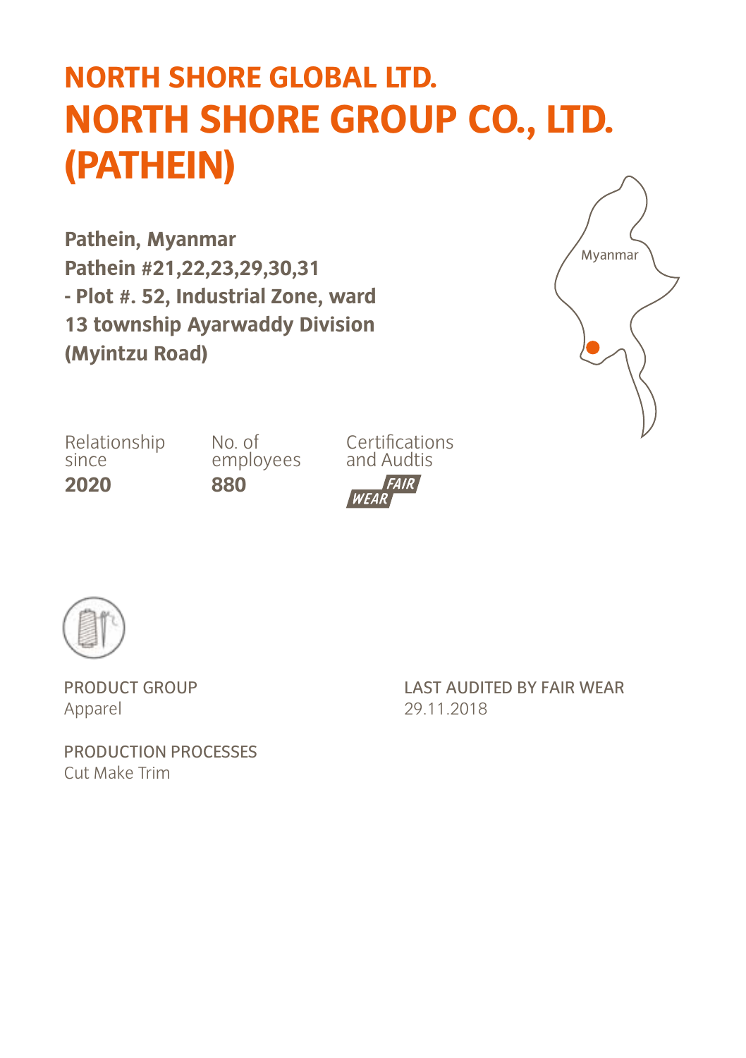## NORTH SHORE GLOBAL LTD. NORTH SHORE GROUP CO., LTD. (PATHEIN)

Pathein, Myanmar Pathein #21,22,23,29,30,31 - Plot #. 52, Industrial Zone, ward 13 township Ayarwaddy Division (Myintzu Road)



Relationship since 2020

No. of employees 880





PRODUCT GROUP Apparel

LAST AUDITED BY FAIR WEAR 29.11.2018

PRODUCTION PROCESSES Cut Make Trim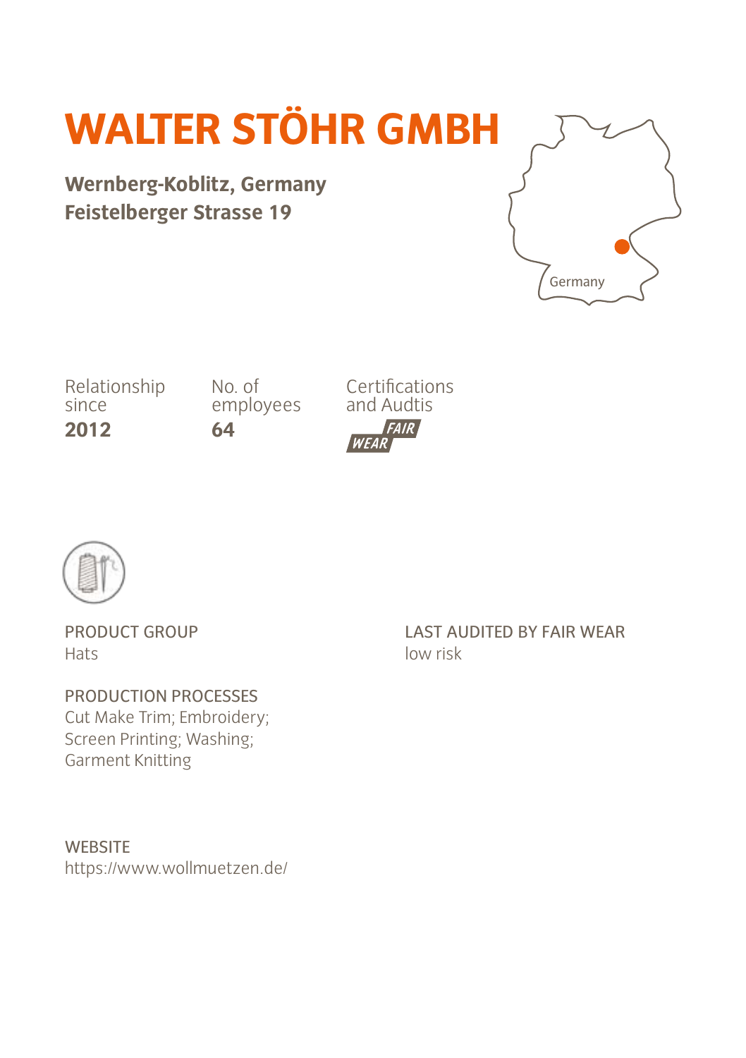# WALTER STÖHR GMBH

#### Wernberg-Koblitz, Germany Feistelberger Strasse 19



Relationship since 2012

No. of employees 64





PRODUCT GROUP **Hats** 

PRODUCTION PROCESSES Cut Make Trim; Embroidery; Screen Printing; Washing; Garment Knitting

**WEBSITE** https://www.wollmuetzen.de/

LAST AUDITED BY FAIR WEAR low risk